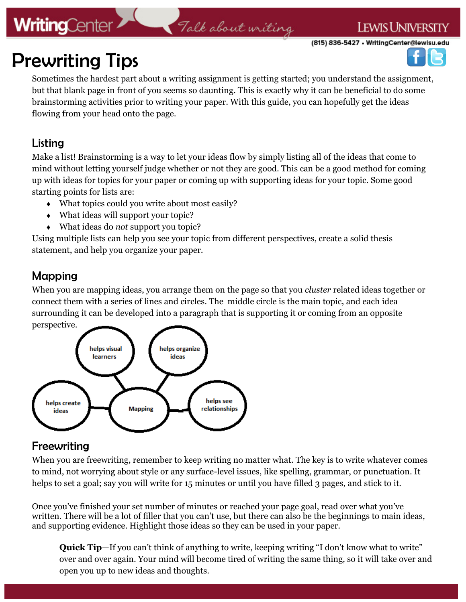## **WritingCenter**

## Talk about writing

(815) 836-5427 • WritingCenter@lewisu.edu

**LEWIS UNIVERSITY** 



# Prewriting Tips

Sometimes the hardest part about a writing assignment is getting started; you understand the assignment, but that blank page in front of you seems so daunting. This is exactly why it can be beneficial to do some brainstorming activities prior to writing your paper. With this guide, you can hopefully get the ideas flowing from your head onto the page.

## Listing

Make a list! Brainstorming is a way to let your ideas flow by simply listing all of the ideas that come to mind without letting yourself judge whether or not they are good. This can be a good method for coming up with ideas for topics for your paper or coming up with supporting ideas for your topic. Some good starting points for lists are:

- What topics could you write about most easily?
- What ideas will support your topic?
- What ideas do *not* support you topic?

Using multiple lists can help you see your topic from different perspectives, create a solid thesis statement, and help you organize your paper.

## Mapping

When you are mapping ideas, you arrange them on the page so that you *cluster* related ideas together or connect them with a series of lines and circles. The middle circle is the main topic, and each idea surrounding it can be developed into a paragraph that is supporting it or coming from an opposite perspective.



## Freewriting

When you are freewriting, remember to keep writing no matter what. The key is to write whatever comes to mind, not worrying about style or any surface-level issues, like spelling, grammar, or punctuation. It helps to set a goal; say you will write for 15 minutes or until you have filled 3 pages, and stick to it.

Once you've finished your set number of minutes or reached your page goal, read over what you've written. There will be a lot of filler that you can't use, but there can also be the beginnings to main ideas, and supporting evidence. Highlight those ideas so they can be used in your paper.

**Quick Tip**—If you can't think of anything to write, keeping writing "I don't know what to write" over and over again. Your mind will become tired of writing the same thing, so it will take over and open you up to new ideas and thoughts.